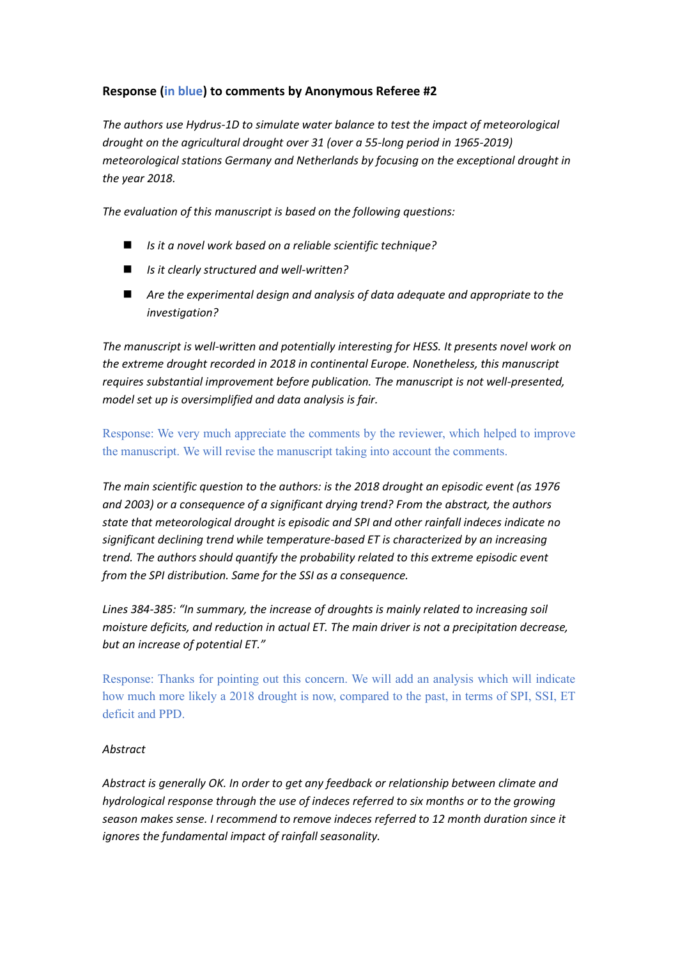## **Response (in blue) to comments by Anonymous Referee #2**

*The authors use Hydrus-1D to simulate water balance to test the impact of meteorological drought on the agricultural drought over 31 (over a 55-long period in 1965-2019) meteorological stations Germany and Netherlands by focusing on the exceptional drought in the year 2018.*

*The evaluation of this manuscript is based on the following questions:*

- ◼ *Is it a novel work based on a reliable scientific technique?*
- ◼ *Is it clearly structured and well-written?*
- Are the experimental design and analysis of data adequate and appropriate to the *investigation?*

*The manuscript is well-written and potentially interesting for HESS. It presents novel work on the extreme drought recorded in 2018 in continental Europe. Nonetheless, this manuscript requires substantial improvement before publication. The manuscript is not well-presented, model set up is oversimplified and data analysis is fair.*

Response: We very much appreciate the comments by the reviewer, which helped to improve the manuscript. We will revise the manuscript taking into account the comments.

*The main scientific question to the authors: is the 2018 drought an episodic event (as 1976 and 2003) or a consequence of a significant drying trend? From the abstract, the authors state that meteorological drought is episodic and SPI and other rainfall indeces indicate no significant declining trend while temperature-based ET is characterized by an increasing trend. The authors should quantify the probability related to this extreme episodic event from the SPI distribution. Same for the SSI as a consequence.*

*Lines 384-385: "In summary, the increase of droughts is mainly related to increasing soil moisture deficits, and reduction in actual ET. The main driver is not a precipitation decrease, but an increase of potential ET."*

Response: Thanks for pointing out this concern. We will add an analysis which will indicate how much more likely a 2018 drought is now, compared to the past, in terms of SPI, SSI, ET deficit and PPD.

#### *Abstract*

*Abstract is generally OK. In order to get any feedback or relationship between climate and hydrological response through the use of indeces referred to six months or to the growing season makes sense. I recommend to remove indeces referred to 12 month duration since it ignores the fundamental impact of rainfall seasonality.*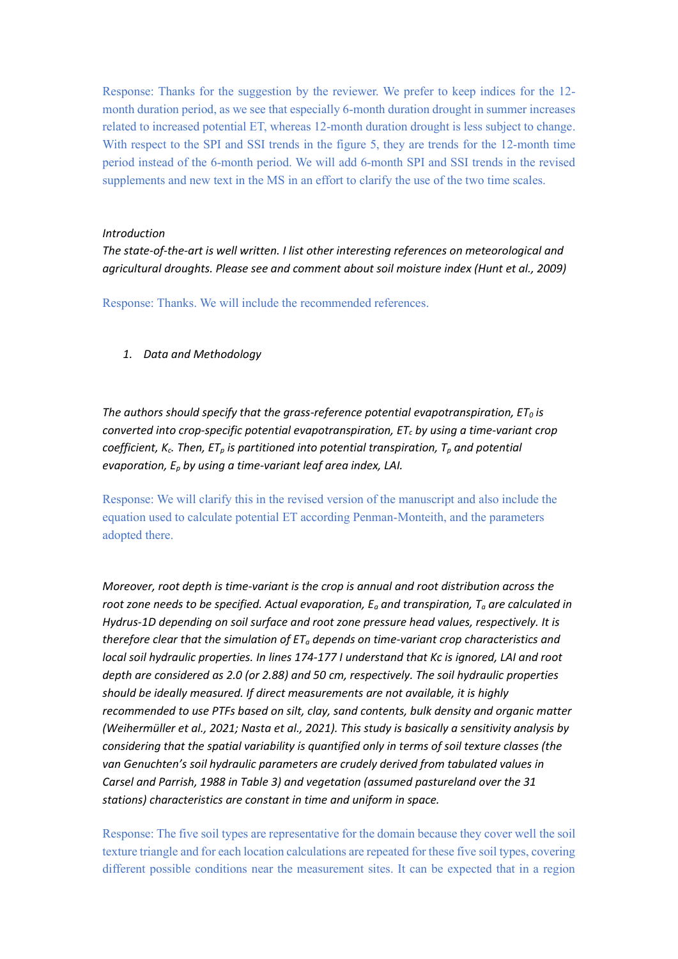Response: Thanks for the suggestion by the reviewer. We prefer to keep indices for the 12 month duration period, as we see that especially 6-month duration drought in summer increases related to increased potential ET, whereas 12-month duration drought is less subject to change. With respect to the SPI and SSI trends in the figure 5, they are trends for the 12-month time period instead of the 6-month period. We will add 6-month SPI and SSI trends in the revised supplements and new text in the MS in an effort to clarify the use of the two time scales.

#### *Introduction*

*The state-of-the-art is well written. I list other interesting references on meteorological and agricultural droughts. Please see and comment about soil moisture index (Hunt et al., 2009)*

Response: Thanks. We will include the recommended references.

*1. Data and Methodology*

The authors should specify that the grass-reference potential evapotranspiration,  $ET_0$  is *converted into crop-specific potential evapotranspiration, ET<sup>c</sup> by using a time-variant crop coefficient, Kc. Then, ET<sup>p</sup> is partitioned into potential transpiration, T<sup>p</sup> and potential evaporation, E<sup>p</sup> by using a time-variant leaf area index, LAI.* 

Response: We will clarify this in the revised version of the manuscript and also include the equation used to calculate potential ET according Penman-Monteith, and the parameters adopted there.

*Moreover, root depth is time-variant is the crop is annual and root distribution across the root zone needs to be specified. Actual evaporation, E<sup>a</sup> and transpiration, T<sup>a</sup> are calculated in Hydrus-1D depending on soil surface and root zone pressure head values, respectively. It is therefore clear that the simulation of ET<sup>a</sup> depends on time-variant crop characteristics and local soil hydraulic properties. In lines 174-177 I understand that Kc is ignored, LAI and root depth are considered as 2.0 (or 2.88) and 50 cm, respectively. The soil hydraulic properties should be ideally measured. If direct measurements are not available, it is highly recommended to use PTFs based on silt, clay, sand contents, bulk density and organic matter (Weihermüller et al., 2021; Nasta et al., 2021). This study is basically a sensitivity analysis by considering that the spatial variability is quantified only in terms of soil texture classes (the van Genuchten's soil hydraulic parameters are crudely derived from tabulated values in Carsel and Parrish, 1988 in Table 3) and vegetation (assumed pastureland over the 31 stations) characteristics are constant in time and uniform in space.*

Response: The five soil types are representative for the domain because they cover well the soil texture triangle and for each location calculations are repeated for these five soil types, covering different possible conditions near the measurement sites. It can be expected that in a region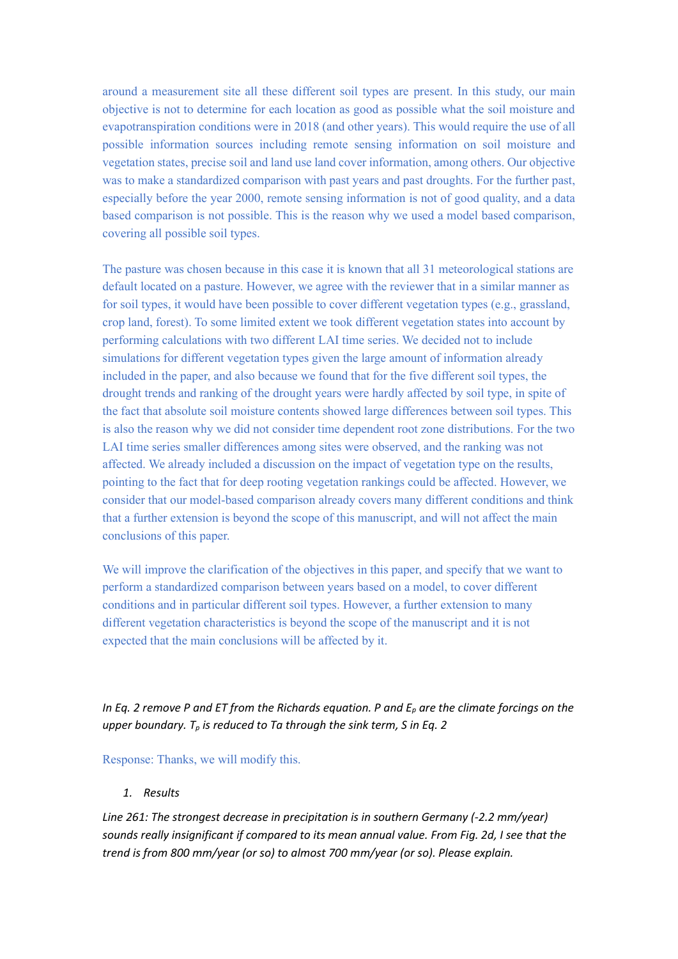around a measurement site all these different soil types are present. In this study, our main objective is not to determine for each location as good as possible what the soil moisture and evapotranspiration conditions were in 2018 (and other years). This would require the use of all possible information sources including remote sensing information on soil moisture and vegetation states, precise soil and land use land cover information, among others. Our objective was to make a standardized comparison with past years and past droughts. For the further past, especially before the year 2000, remote sensing information is not of good quality, and a data based comparison is not possible. This is the reason why we used a model based comparison, covering all possible soil types.

The pasture was chosen because in this case it is known that all 31 meteorological stations are default located on a pasture. However, we agree with the reviewer that in a similar manner as for soil types, it would have been possible to cover different vegetation types (e.g., grassland, crop land, forest). To some limited extent we took different vegetation states into account by performing calculations with two different LAI time series. We decided not to include simulations for different vegetation types given the large amount of information already included in the paper, and also because we found that for the five different soil types, the drought trends and ranking of the drought years were hardly affected by soil type, in spite of the fact that absolute soil moisture contents showed large differences between soil types. This is also the reason why we did not consider time dependent root zone distributions. For the two LAI time series smaller differences among sites were observed, and the ranking was not affected. We already included a discussion on the impact of vegetation type on the results, pointing to the fact that for deep rooting vegetation rankings could be affected. However, we consider that our model-based comparison already covers many different conditions and think that a further extension is beyond the scope of this manuscript, and will not affect the main conclusions of this paper.

We will improve the clarification of the objectives in this paper, and specify that we want to perform a standardized comparison between years based on a model, to cover different conditions and in particular different soil types. However, a further extension to many different vegetation characteristics is beyond the scope of the manuscript and it is not expected that the main conclusions will be affected by it.

*In Eq. 2 remove P and ET from the Richards equation. P and E<sup>p</sup> are the climate forcings on the upper boundary. T<sup>p</sup> is reduced to Ta through the sink term, S in Eq. 2*

Response: Thanks, we will modify this.

#### *1. Results*

*Line 261: The strongest decrease in precipitation is in southern Germany (-2.2 mm/year) sounds really insignificant if compared to its mean annual value. From Fig. 2d, I see that the trend is from 800 mm/year (or so) to almost 700 mm/year (or so). Please explain.*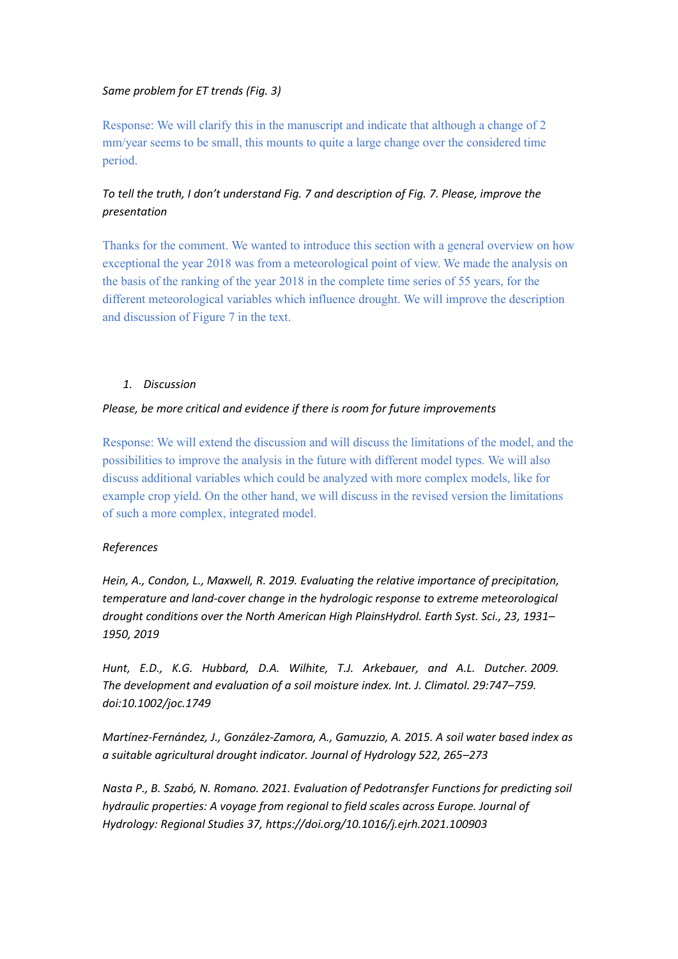### *Same problem for ET trends (Fig. 3)*

Response: We will clarify this in the manuscript and indicate that although a change of 2 mm/year seems to be small, this mounts to quite a large change over the considered time period.

# *To tell the truth, I don't understand Fig. 7 and description of Fig. 7. Please, improve the presentation*

Thanks for the comment. We wanted to introduce this section with a general overview on how exceptional the year 2018 was from a meteorological point of view. We made the analysis on the basis of the ranking of the year 2018 in the complete time series of 55 years, for the different meteorological variables which influence drought. We will improve the description and discussion of Figure 7 in the text.

#### *1. Discussion*

### *Please, be more critical and evidence if there is room for future improvements*

Response: We will extend the discussion and will discuss the limitations of the model, and the possibilities to improve the analysis in the future with different model types. We will also discuss additional variables which could be analyzed with more complex models, like for example crop yield. On the other hand, we will discuss in the revised version the limitations of such a more complex, integrated model.

### *References*

*Hein, A., Condon, L., Maxwell, R. 2019. Evaluating the relative importance of precipitation, temperature and land-cover change in the hydrologic response to extreme meteorological drought conditions over the North American High PlainsHydrol. Earth Syst. Sci., 23, 1931– 1950, 2019*

*Hunt, E.D., K.G. Hubbard, D.A. Wilhite, T.J. Arkebauer, and A.L. Dutcher. 2009. The development and evaluation of a soil moisture index. Int. J. Climatol. 29:747–759. doi:10.1002/joc.1749*

*Martínez-Fernández, J., González-Zamora, A., Gamuzzio, A. 2015. A soil water based index as a suitable agricultural drought indicator. Journal of Hydrology 522, 265–273*

*Nasta P., B. Szabó, N. Romano. 2021. Evaluation of Pedotransfer Functions for predicting soil hydraulic properties: A voyage from regional to field scales across Europe. Journal of Hydrology: Regional Studies 37, https://doi.org/10.1016/j.ejrh.2021.100903*